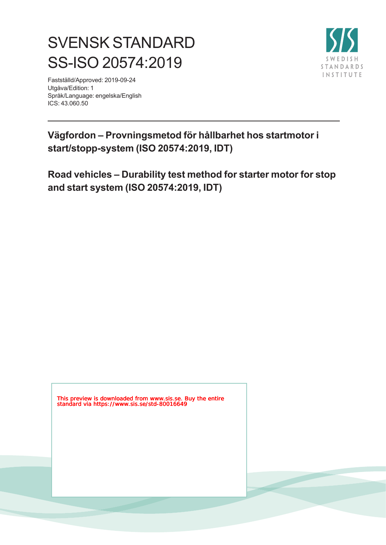# SVENSK STANDARD SS-ISO 20574:2019

Fastställd/Approved: 2019-09-24 Utgåva/Edition: 1 Språk/Language: engelska/English ICS: 43.060.50



## **Vägfordon – Provningsmetod för hållbarhet hos startmotor i start/stopp-system (ISO 20574:2019, IDT)**

**Road vehicles – Durability test method for starter motor for stop and start system (ISO 20574:2019, IDT)**

This preview is downloaded from www.sis.se. Buy the entire standard via https://www.sis.se/std-80016649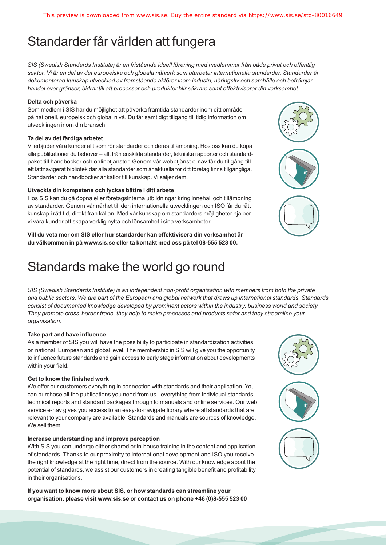## Standarder får världen att fungera

*SIS (Swedish Standards Institute) är en fristående ideell förening med medlemmar från både privat och offentlig sektor. Vi är en del av det europeiska och globala nätverk som utarbetar internationella standarder. Standarder är dokumenterad kunskap utvecklad av framstående aktörer inom industri, näringsliv och samhälle och befrämjar handel över gränser, bidrar till att processer och produkter blir säkrare samt effektiviserar din verksamhet.* 

#### **Delta och påverka**

Som medlem i SIS har du möjlighet att påverka framtida standarder inom ditt område på nationell, europeisk och global nivå. Du får samtidigt tillgång till tidig information om utvecklingen inom din bransch.

#### **Ta del av det färdiga arbetet**

Vi erbjuder våra kunder allt som rör standarder och deras tillämpning. Hos oss kan du köpa alla publikationer du behöver – allt från enskilda standarder, tekniska rapporter och standardpaket till handböcker och onlinetjänster. Genom vår webbtjänst e-nav får du tillgång till ett lättnavigerat bibliotek där alla standarder som är aktuella för ditt företag finns tillgängliga. Standarder och handböcker är källor till kunskap. Vi säljer dem.

#### **Utveckla din kompetens och lyckas bättre i ditt arbete**

Hos SIS kan du gå öppna eller företagsinterna utbildningar kring innehåll och tillämpning av standarder. Genom vår närhet till den internationella utvecklingen och ISO får du rätt kunskap i rätt tid, direkt från källan. Med vår kunskap om standarders möjligheter hjälper vi våra kunder att skapa verklig nytta och lönsamhet i sina verksamheter.

**Vill du veta mer om SIS eller hur standarder kan effektivisera din verksamhet är du välkommen in på www.sis.se eller ta kontakt med oss på tel 08-555 523 00.**

## Standards make the world go round

*SIS (Swedish Standards Institute) is an independent non-profit organisation with members from both the private and public sectors. We are part of the European and global network that draws up international standards. Standards consist of documented knowledge developed by prominent actors within the industry, business world and society. They promote cross-border trade, they help to make processes and products safer and they streamline your organisation.*

#### **Take part and have influence**

As a member of SIS you will have the possibility to participate in standardization activities on national, European and global level. The membership in SIS will give you the opportunity to influence future standards and gain access to early stage information about developments within your field.

#### **Get to know the finished work**

We offer our customers everything in connection with standards and their application. You can purchase all the publications you need from us - everything from individual standards, technical reports and standard packages through to manuals and online services. Our web service e-nav gives you access to an easy-to-navigate library where all standards that are relevant to your company are available. Standards and manuals are sources of knowledge. We sell them.

#### **Increase understanding and improve perception**

With SIS you can undergo either shared or in-house training in the content and application of standards. Thanks to our proximity to international development and ISO you receive the right knowledge at the right time, direct from the source. With our knowledge about the potential of standards, we assist our customers in creating tangible benefit and profitability in their organisations.

**If you want to know more about SIS, or how standards can streamline your organisation, please visit www.sis.se or contact us on phone +46 (0)8-555 523 00**



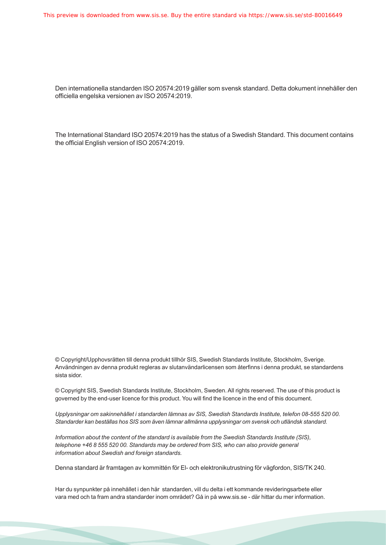Den internationella standarden ISO 20574:2019 gäller som svensk standard. Detta dokument innehåller den officiella engelska versionen av ISO 20574:2019.

The International Standard ISO 20574:2019 has the status of a Swedish Standard. This document contains the official English version of ISO 20574:2019.

© Copyright/Upphovsrätten till denna produkt tillhör SIS, Swedish Standards Institute, Stockholm, Sverige. Användningen av denna produkt regleras av slutanvändarlicensen som återfinns i denna produkt, se standardens sista sidor.

© Copyright SIS, Swedish Standards Institute, Stockholm, Sweden. All rights reserved. The use of this product is governed by the end-user licence for this product. You will find the licence in the end of this document.

*Upplysningar om sakinnehållet i standarden lämnas av SIS, Swedish Standards Institute, telefon 08-555 520 00. Standarder kan beställas hos SIS som även lämnar allmänna upplysningar om svensk och utländsk standard.*

*Information about the content of the standard is available from the Swedish Standards Institute (SIS), telephone +46 8 555 520 00. Standards may be ordered from SIS, who can also provide general information about Swedish and foreign standards.*

Denna standard är framtagen av kommittén för El- och elektronikutrustning för vägfordon, SIS/TK 240.

Har du synpunkter på innehållet i den här standarden, vill du delta i ett kommande revideringsarbete eller vara med och ta fram andra standarder inom området? Gå in på www.sis.se - där hittar du mer information.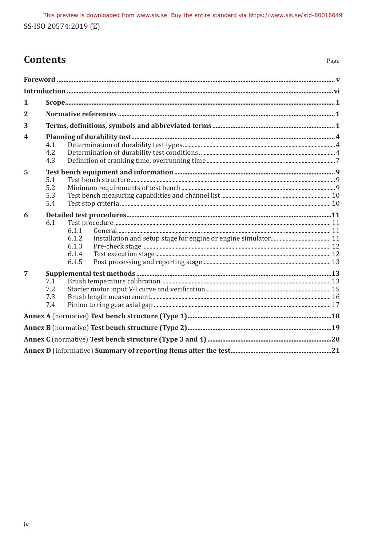## **Contents**

| 1                |                          |                                           |  |  |  |  |  |  |  |
|------------------|--------------------------|-------------------------------------------|--|--|--|--|--|--|--|
| $\mathbf{2}$     |                          |                                           |  |  |  |  |  |  |  |
| 3                |                          |                                           |  |  |  |  |  |  |  |
| $\boldsymbol{4}$ | 4.1<br>4.2<br>4.3        |                                           |  |  |  |  |  |  |  |
| $\overline{5}$   | 5.1<br>5.2<br>5.3<br>5.4 |                                           |  |  |  |  |  |  |  |
| 6                | 6.1                      | 6.1.1<br>6.1.2<br>6.1.3<br>6.1.4<br>6.1.5 |  |  |  |  |  |  |  |
| $\overline{7}$   | 7.1<br>7.2<br>7.3<br>7.4 |                                           |  |  |  |  |  |  |  |
|                  |                          |                                           |  |  |  |  |  |  |  |
|                  |                          |                                           |  |  |  |  |  |  |  |
|                  |                          |                                           |  |  |  |  |  |  |  |
|                  |                          |                                           |  |  |  |  |  |  |  |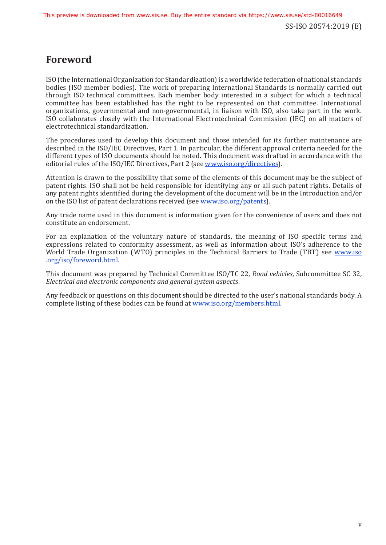## **Foreword**

ISO (the International Organization for Standardization)is a worldwide federation of national standards bodies (ISO member bodies). The work of preparing International Standards is normally carried out through ISO technical committees. Each member body interested in a subject for which a technical committee has been established has the right to be represented on that committee. International organizations, governmental and non-governmental, in liaison with ISO, also take part in the work. ISO collaborates closely with the International Electrotechnical Commission (IEC) on all matters of electrotechnical standardization.

The procedures used to develop this document and those intended for its further maintenance are described in the ISO/IEC Directives, Part 1. In particular, the different approval criteria needed for the different types of ISO documents should be noted. This document was drafted in accordance with the editorial rules of the ISO/IEC Directives, Part 2 (see www.iso[.org/directives\)](https://www.iso.org/directives-and-policies.html).

Attention is drawn to the possibility that some of the elements of this document may be the subject of patent rights. ISO shall not be held responsible for identifying any or all such patent rights. Details of any patent rights identified during the development of the document will be in the Introduction and/or on the ISO list of patent declarations received (see www[.iso.org/patents](https://www.iso.org/iso-standards-and-patents.html)).

Any trade name used in this document is information given for the convenience of users and does not constitute an endorsement.

For an explanation of the voluntary nature of standards, the meaning of ISO specific terms and expressions related to conformity assessment, as well as information about ISO's adherence to the World Trade Organization (WTO) principles in the Technical Barriers to Trade (TBT) see [www](https://www.iso.org/foreword-supplementary-information.html).iso [.org/iso/foreword](https://www.iso.org/foreword-supplementary-information.html).html.

This document was prepared by Technical Committee ISO/TC 22, *Road vehicles*, Subcommittee SC 32*, Electrical and electronic components and general system aspects*.

Any feedback or questions on this document should be directed to the user's national standards body. A complete listing of these bodies can be found at www[.iso.org/members.html.](https://www.iso.org/members.html)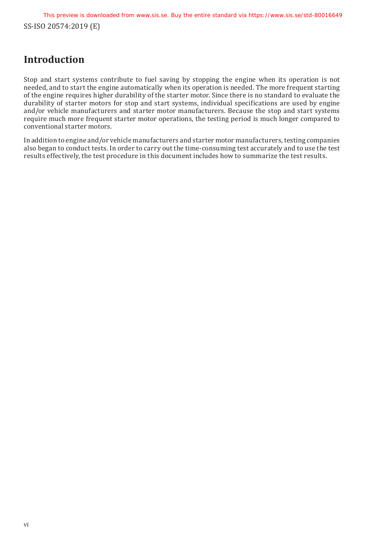SS-ISO 20574:2019 (E) This preview is downloaded from www.sis.se. Buy the entire standard via https://www.sis.se/std-80016649

## **Introduction**

Stop and start systems contribute to fuel saving by stopping the engine when its operation is not needed, and to start the engine automatically when its operation is needed. The more frequent starting of the engine requires higher durability of the starter motor. Since there is no standard to evaluate the durability of starter motors for stop and start systems, individual specifications are used by engine and/or vehicle manufacturers and starter motor manufacturers. Because the stop and start systems require much more frequent starter motor operations, the testing period is much longer compared to conventional starter motors.

In addition to engine and/or vehicle manufacturers and starter motor manufacturers, testing companies also began to conduct tests. In order to carry out the time-consuming test accurately and to use the test results effectively, the test procedure in this document includes how to summarize the test results.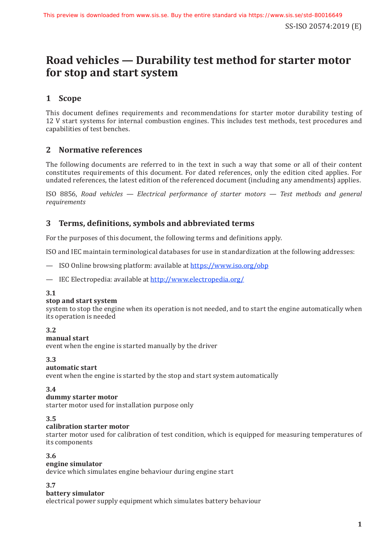## **Road vehicles — Durability test method for starter motor for stop and start system**

### **1 Scope**

This document defines requirements and recommendations for starter motor durability testing of 12 V start systems for internal combustion engines. This includes test methods, test procedures and capabilities of test benches.

### **2 Normative references**

The following documents are referred to in the text in such a way that some or all of their content constitutes requirements of this document. For dated references, only the edition cited applies. For undated references, the latest edition of the referenced document (including any amendments) applies.

ISO 8856, *Road vehicles — Electrical performance of starter motors — Test methods and general requirements*

### **3 Terms, definitions, symbols and abbreviated terms**

For the purposes of this document, the following terms and definitions apply.

ISO and IEC maintain terminological databases for use in standardization at the following addresses:

- ISO Online browsing platform: available at https://www[.iso.org/obp](https://www.iso.org/obp)
- IEC Electropedia: available at http://www[.electropedia.org/](http://www.electropedia.org/)

#### **3.1**

#### **stop and start system**

system to stop the engine when its operation is not needed, and to start the engine automatically when its operation is needed

#### **3.2**

**manual start**

event when the engine is started manually by the driver

#### **3.3**

#### **automatic start**

event when the engine is started by the stop and start system automatically

#### **3.4**

#### **dummy starter motor**

starter motor used for installation purpose only

#### **3.5**

#### **calibration starter motor**

starter motor used for calibration of test condition, which is equipped for measuring temperatures of its components

#### **3.6**

#### **engine simulator**

device which simulates engine behaviour during engine start

**3.7**

#### **battery simulator**

electrical power supply equipment which simulates battery behaviour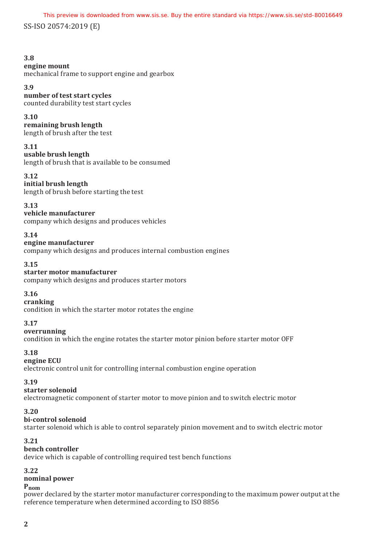This preview is downloaded from www.sis.se. Buy the entire standard via https://www.sis.se/std-80016649

SS-ISO 20574:2019 (E)

#### **3.8**

#### **engine mount**

mechanical frame to support engine and gearbox

#### **3.9**

**number of test start cycles**

counted durability test start cycles

#### **3.10**

**remaining brush length** length of brush after the test

#### **3.11**

**usable brush length** length of brush that is available to be consumed

#### **3.12**

#### **initial brush length**

length of brush before starting the test

#### **3.13**

**vehicle manufacturer** company which designs and produces vehicles

#### **3.14**

#### **engine manufacturer**

company which designs and produces internal combustion engines

#### **3.15**

#### **starter motor manufacturer**

company which designs and produces starter motors

#### **3.16**

**cranking**

condition in which the starter motor rotates the engine

#### **3.17**

**overrunning**

condition in which the engine rotates the starter motor pinion before starter motor OFF

#### **3.18**

**engine ECU** electronic control unit for controlling internal combustion engine operation

#### **3.19**

#### **starter solenoid**

electromagnetic component of starter motor to move pinion and to switch electric motor

#### **3.20**

**bi-control solenoid**

starter solenoid which is able to control separately pinion movement and to switch electric motor

#### **3.21**

#### **bench controller**

device which is capable of controlling required test bench functions

### **3.22**

### **nominal power**

#### **Pnom**

power declared by the starter motor manufacturer corresponding to the maximum power output at the reference temperature when determined according to ISO 8856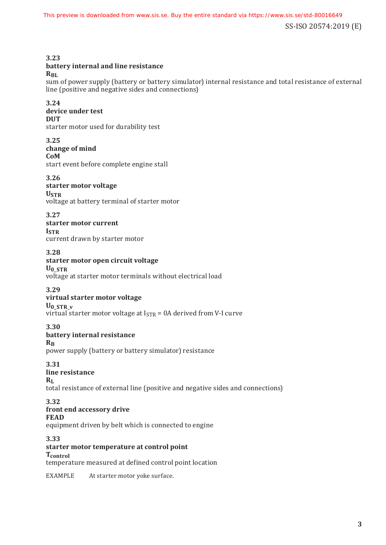**3.23**

**battery internal and line resistance**

 $R_{BL}$ 

sum of power supply (battery or battery simulator) internal resistance and total resistance of external line (positive and negative sides and connections)

**3.24**

### **device under test**

**DUT**

starter motor used for durability test

**3.25 change of mind CoM** start event before complete engine stall

**3.26 starter motor voltage USTR** voltage at battery terminal of starter motor

**3.27**

**starter motor current ISTR** current drawn by starter motor

**3.28**

### **starter motor open circuit voltage**

**U0\_STR** voltage at starter motor terminals without electrical load

#### **3.29**

#### **virtual starter motor voltage**

**U0\_STR\_v**

virtual starter motor voltage at  $I_{STR} = 0A$  derived from V-I curve

**3.30**

#### **battery internal resistance**

**RB**

power supply (battery or battery simulator) resistance

**3.31 line resistance**

### **R**<sub>L</sub>

total resistance of external line (positive and negative sides and connections)

#### **3.32 front end accessory drive**

**FEAD**

equipment driven by belt which is connected to engine

**3.33**

**starter motor temperature at control point Tcontrol** temperature measured at defined control point location

EXAMPLE At starter motor yoke surface.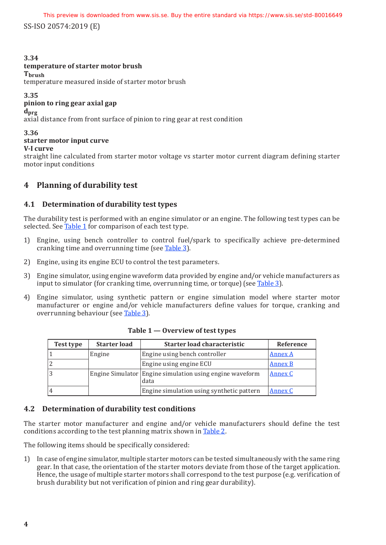SS-ISO 20574:2019 (E) This preview is downloaded from www.sis.se. Buy the entire standard via https://www.sis.se/std-80016649

#### **3.34**

#### **temperature of starter motor brush**

**Tbrush**

temperature measured inside of starter motor brush

**3.35**

#### **pinion to ring gear axial gap**

**dprg**

axial distance from front surface of pinion to ring gear at rest condition

**3.36**

#### **starter motor input curve**

**V-I curve**

straight line calculated from starter motor voltage vs starter motor current diagram defining starter motor input conditions

### **4 Planning of durability test**

#### **4.1 Determination of durability test types**

The durability test is performed with an engine simulator or an engine. The following test types can be selected. See Table 1 for comparison of each test type.

- 1) Engine, using bench controller to control fuel/spark to specifically achieve pre-determined cranking time and overrunning time (see Table 3).
- 2) Engine, using its engine ECU to control the test parameters.
- 3) Engine simulator, using engine waveform data provided by engine and/or vehicle manufacturers as input to simulator (for cranking time, overrunning time, or torque) (see Table 3).
- 4) Engine simulator, using synthetic pattern or engine simulation model where starter motor manufacturer or engine and/or vehicle manufacturers define values for torque, cranking and overrunning behaviour (see Table 3).

| <b>Starter load</b><br>Test type |        | Starter load characteristic                                      | Reference      |  |
|----------------------------------|--------|------------------------------------------------------------------|----------------|--|
|                                  | Engine | Engine using bench controller                                    | <b>Annex A</b> |  |
| 2                                |        | Engine using engine ECU                                          | <b>Annex B</b> |  |
| 3                                |        | Engine Simulator Engine simulation using engine waveform<br>data | Annex C        |  |
| $\overline{4}$                   |        | Engine simulation using synthetic pattern                        | Annex C        |  |

**Table 1 — Overview of test types**

#### **4.2 Determination of durability test conditions**

The starter motor manufacturer and engine and/or vehicle manufacturers should define the test conditions according to the test planning matrix shown in Table 2.

The following items should be specifically considered:

1) In case of engine simulator, multiple starter motors can be tested simultaneously with the same ring gear. In that case, the orientation of the starter motors deviate from those of the target application. Hence, the usage of multiple starter motors shall correspond to the test purpose (e.g. verification of brush durability but not verification of pinion and ring gear durability).